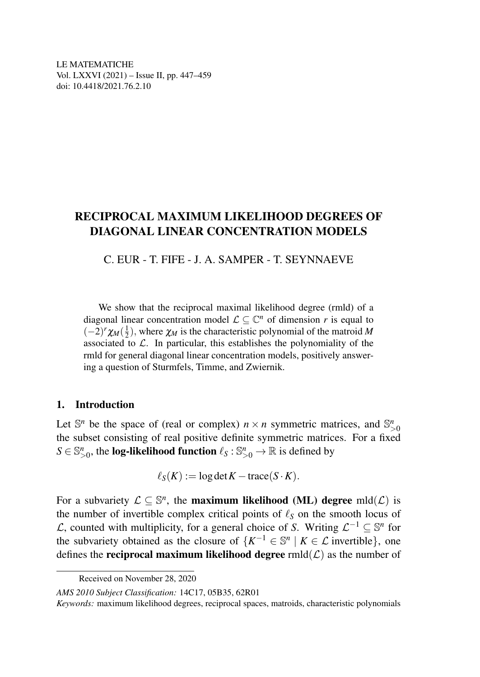LE MATEMATICHE Vol. LXXVI (2021) – Issue II, pp. 447–459 doi: 10.4418/2021.76.2.10

# RECIPROCAL MAXIMUM LIKELIHOOD DEGREES OF DIAGONAL LINEAR CONCENTRATION MODELS

C. EUR - T. FIFE - J. A. SAMPER - T. SEYNNAEVE

We show that the reciprocal maximal likelihood degree (rmld) of a diagonal linear concentration model  $\mathcal{L} \subseteq \mathbb{C}^n$  of dimension *r* is equal to  $(-2)^r \chi_M(\frac{1}{2})$ , where  $\chi_M$  is the characteristic polynomial of the matroid *M* associated to  $\mathcal{L}$ . In particular, this establishes the polynomiality of the rmld for general diagonal linear concentration models, positively answering a question of Sturmfels, Timme, and Zwiernik.

### 1. Introduction

Let  $\mathbb{S}^n$  be the space of (real or complex)  $n \times n$  symmetric matrices, and  $\mathbb{S}^n_{>0}$ the subset consisting of real positive definite symmetric matrices. For a fixed  $S \in \mathbb{S}^n_{>0}$ , the **log-likelihood function**  $\ell_S : \mathbb{S}^n_{>0} \to \mathbb{R}$  is defined by

$$
\ell_S(K) := \log \det K - \text{trace}(S \cdot K).
$$

For a subvariety  $\mathcal{L} \subseteq \mathbb{S}^n$ , the **maximum likelihood (ML) degree** mld $(\mathcal{L})$  is the number of invertible complex critical points of  $\ell_s$  on the smooth locus of  $\mathcal{L}$ , counted with multiplicity, for a general choice of *S*. Writing  $\mathcal{L}^{-1}$  ⊆  $\mathbb{S}^n$  for the subvariety obtained as the closure of  $\{K^{-1} \in \mathbb{S}^n \mid K \in \mathcal{L} \text{ invertible}\},\$  one defines the **reciprocal maximum likelihood degree**  $rmld(\mathcal{L})$  as the number of

*AMS 2010 Subject Classification:* 14C17, 05B35, 62R01

Received on November 28, 2020

*Keywords:* maximum likelihood degrees, reciprocal spaces, matroids, characteristic polynomials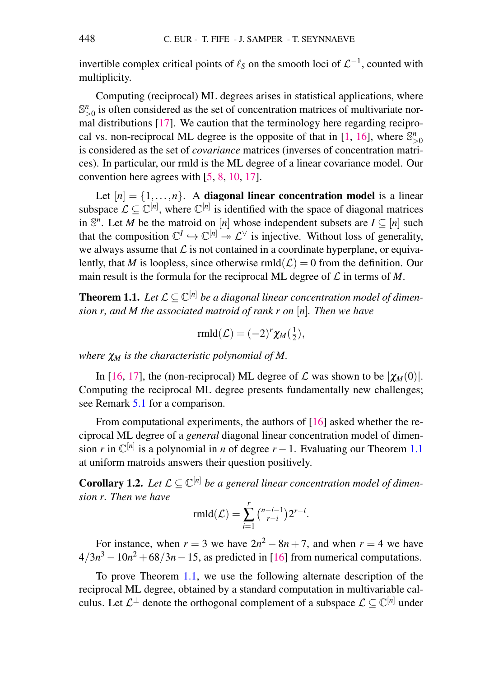invertible complex critical points of  $\ell_S$  on the smooth loci of  $\mathcal{L}^{-1}$ , counted with multiplicity.

Computing (reciprocal) ML degrees arises in statistical applications, where  $\mathbb{S}_{>0}^n$  is often considered as the set of concentration matrices of multivariate normal distributions [\[17\]](#page-11-0). We caution that the terminology here regarding reciprocal vs. non-reciprocal ML degree is the opposite of that in  $[1, 16]$  $[1, 16]$  $[1, 16]$ , where  $\mathbb{S}^n_{>0}$ is considered as the set of *covariance* matrices (inverses of concentration matrices). In particular, our rmld is the ML degree of a linear covariance model. Our convention here agrees with [\[5,](#page-11-3) [8,](#page-11-4) [10,](#page-11-5) [17\]](#page-11-0).

Let  $[n] = \{1, \ldots, n\}$ . A **diagonal linear concentration model** is a linear subspace  $\mathcal{L} \subseteq \mathbb{C}^{[n]}$ , where  $\mathbb{C}^{[n]}$  is identified with the space of diagonal matrices in  $\mathbb{S}^n$ . Let *M* be the matroid on [*n*] whose independent subsets are  $I \subseteq [n]$  such that the composition  $\mathbb{C}^I \hookrightarrow \mathbb{C}^{[n]} \twoheadrightarrow \mathcal{L}^{\vee}$  is injective. Without loss of generality, we always assume that  $\mathcal L$  is not contained in a coordinate hyperplane, or equivalently, that *M* is loopless, since otherwise  $rmld(\mathcal{L}) = 0$  from the definition. Our main result is the formula for the reciprocal ML degree of  $\mathcal L$  in terms of  $M$ .

<span id="page-1-0"></span>**Theorem 1.1.** Let  $\mathcal{L} \subseteq \mathbb{C}^{[n]}$  be a diagonal linear concentration model of dimen*sion r, and M the associated matroid of rank r on* [*n*]*. Then we have*

$$
\text{rmld}(\mathcal{L}) = (-2)^r \chi_M(\frac{1}{2}),
$$

*where*  $χ<sub>M</sub>$  *is the characteristic polynomial of M*.

In [\[16,](#page-11-2) [17\]](#page-11-0), the (non-reciprocal) ML degree of  $\mathcal L$  was shown to be  $|\chi_M(0)|$ . Computing the reciprocal ML degree presents fundamentally new challenges; see Remark [5.1](#page-9-0) for a comparison.

From computational experiments, the authors of [\[16\]](#page-11-2) asked whether the reciprocal ML degree of a *general* diagonal linear concentration model of dimension *r* in  $\mathbb{C}^{[n]}$  is a polynomial in *n* of degree *r* − 1. Evaluating our Theorem [1.1](#page-1-0) at uniform matroids answers their question positively.

<span id="page-1-1"></span>**Corollary 1.2.** Let  $\mathcal{L} \subseteq \mathbb{C}^{[n]}$  be a general linear concentration model of dimen*sion r. Then we have*

$$
\text{rmld}(\mathcal{L}) = \sum_{i=1}^r \binom{n-i-1}{r-i} 2^{r-i}.
$$

For instance, when  $r = 3$  we have  $2n^2 - 8n + 7$ , and when  $r = 4$  we have  $4/3n^3 - 10n^2 + 68/3n - 15$ , as predicted in [\[16\]](#page-11-2) from numerical computations.

To prove Theorem [1.1,](#page-1-0) we use the following alternate description of the reciprocal ML degree, obtained by a standard computation in multivariable calculus. Let  $\mathcal{L}^{\perp}$  denote the orthogonal complement of a subspace  $\mathcal{L} \subseteq \mathbb{C}^{[n]}$  under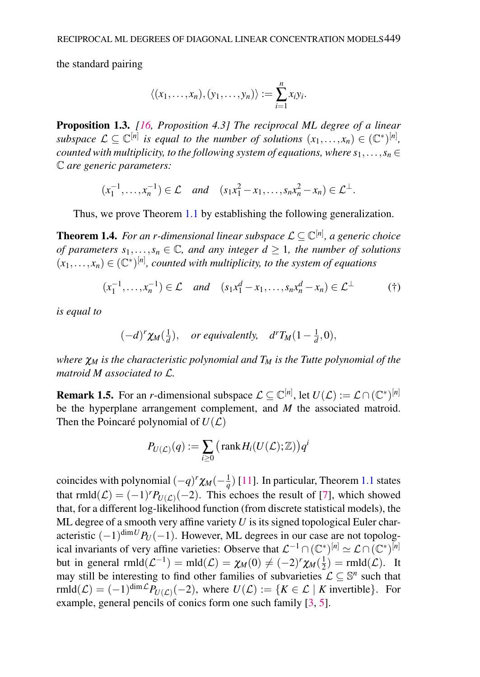the standard pairing

$$
\langle (x_1,\ldots,x_n), (y_1,\ldots,y_n) \rangle := \sum_{i=1}^n x_i y_i.
$$

<span id="page-2-2"></span>Proposition 1.3. *[\[16,](#page-11-2) Proposition 4.3] The reciprocal ML degree of a linear subspace*  $\mathcal{L} \subseteq \mathbb{C}^{[n]}$  *is equal to the number of solutions*  $(x_1, \ldots, x_n) \in (\mathbb{C}^*)^{[n]}$ , *counted with multiplicity, to the following system of equations, where*  $s_1, \ldots, s_n \in$ C *are generic parameters:*

$$
(x_1^{-1},...,x_n^{-1}) \in \mathcal{L}
$$
 and  $(s_1x_1^2 - x_1,...,s_nx_n^2 - x_n) \in \mathcal{L}^{\perp}$ .

Thus, we prove Theorem [1.1](#page-1-0) by establishing the following generalization.

<span id="page-2-1"></span>Theorem 1.4. *For an r-dimensional linear subspace* L ⊆ C [*n*] *, a generic choice of parameters*  $s_1, \ldots, s_n \in \mathbb{C}$ *, and any integer*  $d \geq 1$ *, the number of solutions*  $(x_1,...,x_n) \in (\mathbb{C}^*)^{[n]}$ , counted with multiplicity, to the system of equations

$$
(x_1^{-1},\ldots,x_n^{-1}) \in \mathcal{L} \quad \text{and} \quad (s_1x_1^d - x_1,\ldots,s_nx_n^d - x_n) \in \mathcal{L}^\perp \tag{\dagger}
$$

*is equal to*

<span id="page-2-0"></span>
$$
(-d)^r \chi_M(\frac{1}{d}),
$$
 or equivalently,  $d^r \chi_M(1-\frac{1}{d},0),$ 

*where* χ*<sup>M</sup> is the characteristic polynomial and T<sup>M</sup> is the Tutte polynomial of the matroid M associated to* L*.*

**Remark 1.5.** For an *r*-dimensional subspace  $\mathcal{L} \subseteq \mathbb{C}^{[n]}$ , let  $U(\mathcal{L}) := \mathcal{L} \cap (\mathbb{C}^*)^{[n]}$ be the hyperplane arrangement complement, and *M* the associated matroid. Then the Poincaré polynomial of  $U(\mathcal{L})$ 

$$
P_{U(\mathcal{L})}(q) := \sum_{i \geq 0} \left( \operatorname{rank} H_i(U(\mathcal{L}); \mathbb{Z}) \right) q^i
$$

coincides with polynomial  $(-q)^r \chi_M(-\frac{1}{q})$  [\[11\]](#page-11-6). In particular, Theorem [1.1](#page-1-0) states that  $rmld(\mathcal{L}) = (-1)^r P_{U(\mathcal{L})}(-2)$ . This echoes the result of [\[7\]](#page-11-7), which showed that, for a different log-likelihood function (from discrete statistical models), the ML degree of a smooth very affine variety *U* is its signed topological Euler characteristic  $(-1)^{\dim U}P_U(-1)$ . However, ML degrees in our case are not topological invariants of very affine varieties: Observe that  $\mathcal{L}^{-1} \cap (\mathbb{C}^*)^{[n]} \simeq \mathcal{L} \cap (\mathbb{C}^*)^{[n]}$ but in general  $rmld}(\mathcal{L}^{-1}) = \text{mld}(\mathcal{L}) = \chi_M(0) \neq (-2)^r \chi_M(\frac{1}{2})$  $(\frac{1}{2}) = \text{rmld}(\mathcal{L}).$  It may still be interesting to find other families of subvarieties  $\mathcal{L} \subseteq \mathbb{S}^n$  such that  $r\text{mld}(\mathcal{L}) = (-1)^{\dim \mathcal{L}} P_{U(\mathcal{L})}(-2)$ , where  $U(\mathcal{L}) := \{ K \in \mathcal{L} \mid K \text{ invertible} \}.$  For example, general pencils of conics form one such family [\[3,](#page-11-8) [5\]](#page-11-3).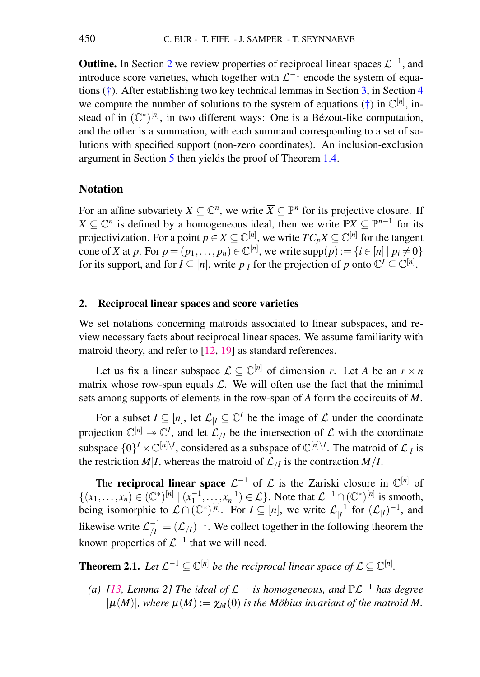**Outline.** In Section [2](#page-3-0) we review properties of reciprocal linear spaces  $\mathcal{L}^{-1}$ , and introduce score varieties, which together with  $\mathcal{L}^{-1}$  encode the system of equations [\(†\)](#page-2-0). After establishing two key technical lemmas in Section [3,](#page-5-0) in Section [4](#page-6-0) we compute the number of solutions to the system of equations  $(\dagger)$  in  $\mathbb{C}^{[n]}$ , instead of in  $(\mathbb{C}^*)^{[n]}$ , in two different ways: One is a Bézout-like computation, and the other is a summation, with each summand corresponding to a set of solutions with specified support (non-zero coordinates). An inclusion-exclusion argument in Section [5](#page-8-0) then yields the proof of Theorem [1.4.](#page-2-1)

# Notation

For an affine subvariety  $X \subseteq \mathbb{C}^n$ , we write  $\overline{X} \subseteq \mathbb{P}^n$  for its projective closure. If *X* ⊆  $\mathbb{C}^n$  is defined by a homogeneous ideal, then we write  $\mathbb{P}X$  ⊆  $\mathbb{P}^{n-1}$  for its projectivization. For a point  $p \in X \subseteq \mathbb{C}^{[n]}$ , we write  $TC_pX \subseteq \mathbb{C}^{[n]}$  for the tangent cone of *X* at *p*. For  $p = (p_1, \ldots, p_n) \in \mathbb{C}^{[n]}$ , we write  $\text{supp}(p) := \{i \in [n] \mid p_i \neq 0\}$ for its support, and for  $I \subseteq [n]$ , write  $p_{|I}$  for the projection of  $p$  onto  $\mathbb{C}^I \subseteq \mathbb{C}^{[n]}$ .

### <span id="page-3-0"></span>2. Reciprocal linear spaces and score varieties

We set notations concerning matroids associated to linear subspaces, and review necessary facts about reciprocal linear spaces. We assume familiarity with matroid theory, and refer to [\[12,](#page-11-9) [19\]](#page-12-0) as standard references.

Let us fix a linear subspace  $\mathcal{L} \subseteq \mathbb{C}^{[n]}$  of dimension *r*. Let *A* be an  $r \times n$ matrix whose row-span equals  $\mathcal{L}$ . We will often use the fact that the minimal sets among supports of elements in the row-span of *A* form the cocircuits of *M*.

For a subset  $I \subseteq [n]$ , let  $\mathcal{L}_{|I} \subseteq \mathbb{C}^I$  be the image of  $\mathcal L$  under the coordinate projection  $\mathbb{C}^{[n]} \to \mathbb{C}^I$ , and let  $\mathcal{L}_{/I}$  be the intersection of  $\mathcal L$  with the coordinate subspace  $\{0\}^I \times \mathbb{C}^{[n]\setminus I}$ , considered as a subspace of  $\mathbb{C}^{[n]\setminus I}$ . The matroid of  $\mathcal{L}_{|I}$  is the restriction *M*|*I*, whereas the matroid of  $\mathcal{L}_{/I}$  is the contraction *M*|*I*.

The **reciprocal linear space**  $\mathcal{L}^{-1}$  of  $\mathcal{L}$  is the Zariski closure in  $\mathbb{C}^{[n]}$  of  $\{(x_1,...,x_n) \in (\mathbb{C}^*)^{[n]} \mid (x_1^{-1},...,x_n^{-1}) \in \mathcal{L}\}.$  Note that  $\mathcal{L}^{-1} \cap (\mathbb{C}^*)^{[n]}$  is smooth, being isomorphic to  $\mathcal{L} \cap (\mathbb{C}^*)^{[n]}$ . For  $I \subseteq [n]$ , we write  $\mathcal{L}_{|I}^{-1}$  $\frac{-1}{|I|}$  for  $(\mathcal{L}_{|I})^{-1}$ , and likewise write  $\mathcal{L}_{/I}^{-1} = (\mathcal{L}_{/I})^{-1}$ . We collect together in the following theorem the known properties of  $\mathcal{L}^{-1}$  that we will need.

<span id="page-3-1"></span>**Theorem 2.1.** Let  $\mathcal{L}^{-1} \subseteq \mathbb{C}^{[n]}$  be the reciprocal linear space of  $\mathcal{L} \subseteq \mathbb{C}^{[n]}$ .

<span id="page-3-2"></span>(a) [\[13,](#page-11-10) Lemma 2] The ideal of  $\mathcal{L}^{-1}$  is homogeneous, and  $\mathbb{P}\mathcal{L}^{-1}$  has degree  $|\mu(M)|$ *, where*  $\mu(M) := \chi_M(0)$  *is the Möbius invariant of the matroid M.*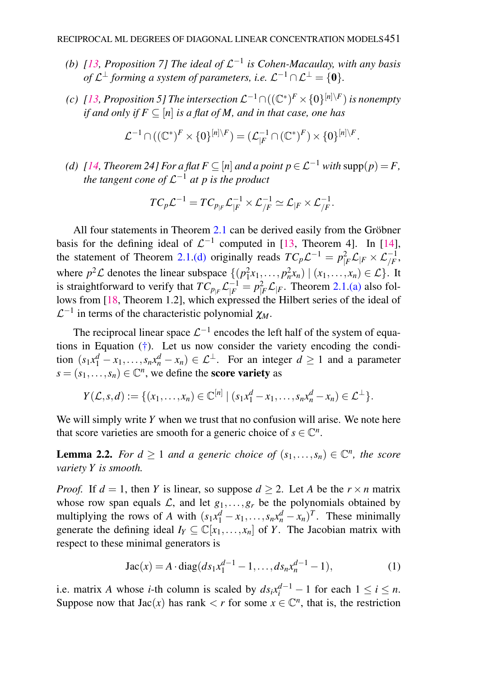- <span id="page-4-1"></span>(b)  $[13,$  Proposition 7] The ideal of  $\mathcal{L}^{-1}$  is Cohen-Macaulay, with any basis of  $\mathcal{L}^{\perp}$  forming a system of parameters, i.e.  $\mathcal{L}^{-1} \cap \mathcal{L}^{\perp} = \{0\}.$
- <span id="page-4-2"></span>(c) [\[13,](#page-11-10) Proposition 5] The intersection  $\mathcal{L}^{-1} \cap ((\mathbb{C}^*)^F \times \{0\}^{[n] \setminus F})$  is nonempty *if and only if*  $F \subseteq [n]$  *is a flat of M*, *and in that case, one has*

$$
\mathcal{L}^{-1}\cap((\mathbb{C}^*)^F\times\{0\}^{[n]\setminus F})=(\mathcal{L}^{-1}_{|F}\cap(\mathbb{C}^*)^F)\times\{0\}^{[n]\setminus F}.
$$

<span id="page-4-0"></span>*(d)*  $[14$ , Theorem 24] For a flat  $F \subseteq [n]$  and a point  $p \in \mathcal{L}^{-1}$  with supp( $p$ ) = F, *the tangent cone of* L <sup>−</sup><sup>1</sup> *at p is the product*

$$
TC_p\mathcal{L}^{-1} = TC_{p_{|F}}\mathcal{L}_{|F}^{-1} \times \mathcal{L}_{/F}^{-1} \simeq \mathcal{L}_{|F} \times \mathcal{L}_{/F}^{-1}.
$$

All four statements in Theorem [2.1](#page-3-1) can be derived easily from the Gröbner basis for the defining ideal of  $\mathcal{L}^{-1}$  computed in [\[13,](#page-11-10) Theorem 4]. In [\[14\]](#page-11-11), the statement of Theorem [2.1.](#page-3-1)[\(d\)](#page-4-0) originally reads  $TC_p\mathcal{L}^{-1} = p_F^2 \mathcal{L}_{|F} \times \mathcal{L}_{/F}^{-1}$ , where  $p^2 \mathcal{L}$  denotes the linear subspace  $\{(p_1^2 x_1, \ldots, p_n^2 x_n) \mid (x_1, \ldots, x_n) \in \mathcal{L}\}\.$  It is straightforward to verify that  $TC_{p|F} \mathcal{L}_{|F}^{-1} = p_{|F}^2 \mathcal{L}_{|F}$ . Theorem [2.1](#page-3-1)[.\(a\)](#page-3-2) also follows from [\[18,](#page-12-1) Theorem 1.2], which expressed the Hilbert series of the ideal of  $\mathcal{L}^{-1}$  in terms of the characteristic polynomial  $\chi_M$ .

The reciprocal linear space  $\mathcal{L}^{-1}$  encodes the left half of the system of equations in Equation [\(†\)](#page-2-0). Let us now consider the variety encoding the condition  $(s_1x_1^d - x_1, \ldots, s_nx_n^d - x_n) \in \mathcal{L}^{\perp}$ . For an integer  $d \ge 1$  and a parameter  $s = (s_1, \ldots, s_n) \in \mathbb{C}^n$ , we define the **score variety** as

$$
Y(\mathcal{L},s,d):=\{(x_1,\ldots,x_n)\in\mathbb{C}^{[n]} \mid (s_1x_1^d-x_1,\ldots,s_nx_n^d-x_n)\in\mathcal{L}^{\perp}\}.
$$

We will simply write *Y* when we trust that no confusion will arise. We note here that score varieties are smooth for a generic choice of  $s \in \mathbb{C}^n$ .

<span id="page-4-3"></span>**Lemma 2.2.** For  $d \geq 1$  and a generic choice of  $(s_1, \ldots, s_n) \in \mathbb{C}^n$ , the score *variety Y is smooth.*

*Proof.* If  $d = 1$ , then *Y* is linear, so suppose  $d > 2$ . Let *A* be the  $r \times n$  matrix whose row span equals  $\mathcal{L}$ , and let  $g_1, \ldots, g_r$  be the polynomials obtained by multiplying the rows of *A* with  $(s_1x_1^d - x_1, \ldots, s_nx_n^d - x_n)^T$ . These minimally generate the defining ideal  $I_Y \subseteq \mathbb{C}[x_1,\ldots,x_n]$  of *Y*. The Jacobian matrix with respect to these minimal generators is

<span id="page-4-4"></span>Jac(x) = 
$$
A \cdot diag(ds_1x_1^{d-1} - 1,...,ds_nx_n^{d-1} - 1),
$$
 (1)

i.e. matrix *A* whose *i*-th column is scaled by  $ds_i x_i^{d-1} - 1$  for each  $1 \le i \le n$ . Suppose now that  $Jac(x)$  has rank  $\lt r$  for some  $x \in \mathbb{C}^n$ , that is, the restriction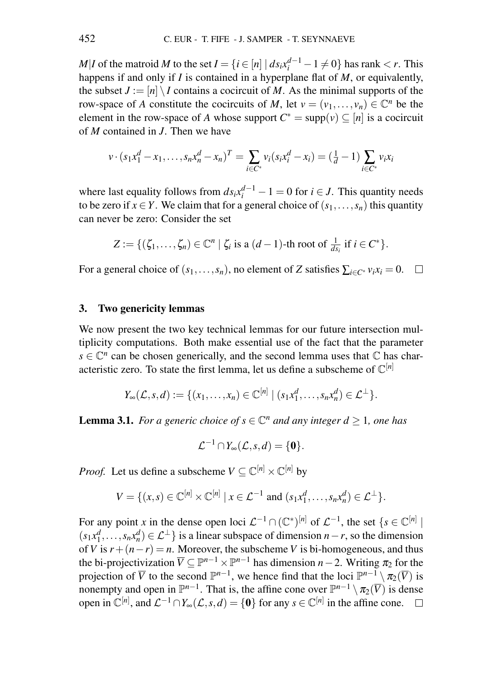*M*|*I* of the matroid *M* to the set *I* = { $i \in [n] | ds_i x_i^{d-1} - 1 \neq 0$ } has rank < *r*. This happens if and only if *I* is contained in a hyperplane flat of *M*, or equivalently, the subset  $J := [n] \setminus I$  contains a cocircuit of *M*. As the minimal supports of the row-space of *A* constitute the cocircuits of *M*, let  $v = (v_1, \dots, v_n) \in \mathbb{C}^n$  be the element in the row-space of *A* whose support  $C^* = \text{supp}(v) \subseteq [n]$  is a cocircuit of *M* contained in *J*. Then we have

$$
v \cdot (s_1 x_1^d - x_1, \dots, s_n x_n^d - x_n)^T = \sum_{i \in C^*} v_i (s_i x_i^d - x_i) = (\frac{1}{d} - 1) \sum_{i \in C^*} v_i x_i
$$

where last equality follows from  $ds_i x_i^{d-1} - 1 = 0$  for  $i \in J$ . This quantity needs to be zero if  $x \in Y$ . We claim that for a general choice of  $(s_1, \ldots, s_n)$  this quantity can never be zero: Consider the set

$$
Z := \{(\zeta_1,\ldots,\zeta_n) \in \mathbb{C}^n \mid \zeta_i \text{ is a } (d-1)\text{-th root of } \frac{1}{ds_i} \text{ if } i \in C^*\}.
$$

For a general choice of  $(s_1, \ldots, s_n)$ , no element of *Z* satisfies  $\sum_{i \in C^*} v_i x_i = 0$ .  $\Box$ 

#### <span id="page-5-0"></span>3. Two genericity lemmas

We now present the two key technical lemmas for our future intersection multiplicity computations. Both make essential use of the fact that the parameter  $s \in \mathbb{C}^n$  can be chosen generically, and the second lemma uses that  $\mathbb C$  has characteristic zero. To state the first lemma, let us define a subscheme of  $\mathbb{C}^{[n]}$ 

$$
Y_{\infty}(\mathcal{L},s,d):=\{(x_1,\ldots,x_n)\in\mathbb{C}^{[n]}\mid (s_1x_1^d,\ldots,s_nx_n^d)\in\mathcal{L}^{\perp}\}.
$$

<span id="page-5-1"></span>**Lemma 3.1.** *For a generic choice of*  $s \in \mathbb{C}^n$  *and any integer*  $d \geq 1$ *, one has* 

 $\mathcal{L}^{-1} \cap Y_{\infty}(\mathcal{L},s,d) = \{0\}.$ 

*Proof.* Let us define a subscheme  $V \subseteq \mathbb{C}^{[n]} \times \mathbb{C}^{[n]}$  by

$$
V = \{ (x,s) \in \mathbb{C}^{[n]} \times \mathbb{C}^{[n]} \mid x \in \mathcal{L}^{-1} \text{ and } (s_1x_1^d, \dots, s_nx_n^d) \in \mathcal{L}^{\perp} \}.
$$

For any point *x* in the dense open loci  $\mathcal{L}^{-1} \cap (\mathbb{C}^*)^{[n]}$  of  $\mathcal{L}^{-1}$ , the set  $\{s \in \mathbb{C}^{[n]} \mid s \in \mathbb{C}^{[n]} \}$  $(s_1x_1^d, \ldots, s_nx_n^d) \in \mathcal{L}^{\perp}$  is a linear subspace of dimension *n*−*r*, so the dimension of *V* is  $r + (n - r) = n$ . Moreover, the subscheme *V* is bi-homogeneous, and thus the bi-projectivization  $\overline{V} \subseteq \mathbb{P}^{n-1} \times \mathbb{P}^{n-1}$  has dimension  $n-2$ . Writing  $\pi_2$  for the projection of  $\overline{V}$  to the second  $\mathbb{P}^{n-1}$ , we hence find that the loci  $\mathbb{P}^{n-1} \setminus \pi_2(\overline{V})$  is nonempty and open in  $\mathbb{P}^{n-1}$ . That is, the affine cone over  $\mathbb{P}^{n-1} \setminus \pi_2(\overline{V})$  is dense open in  $\mathbb{C}^{[n]}$ , and  $\mathcal{L}^{-1} \cap Y_{\infty}(\mathcal{L}, s, d) = \{0\}$  for any  $s \in \mathbb{C}^{[n]}$  in the affine cone.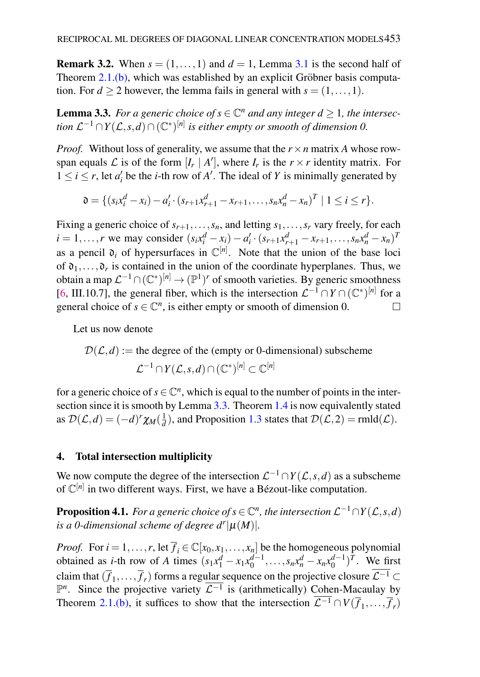**Remark 3.2.** When  $s = (1, \ldots, 1)$  and  $d = 1$ , Lemma [3.1](#page-5-1) is the second half of Theorem  $2.1$ [.\(b\),](#page-4-1) which was established by an explicit Gröbner basis computation. For  $d > 2$  however, the lemma fails in general with  $s = (1, \ldots, 1)$ .

<span id="page-6-1"></span>**Lemma 3.3.** For a generic choice of  $s \in \mathbb{C}^n$  and any integer  $d \geq 1$ , the intersection  $\mathcal{L}^{-1}\cap Y(\mathcal{L},s,d)\cap (\mathbb{C}^*)^{[n]}$  is either empty or smooth of dimension 0.

*Proof.* Without loss of generality, we assume that the  $r \times n$  matrix *A* whose rowspan equals  $\mathcal{L}$  is of the form  $[I_r | A']$ , where  $I_r$  is the  $r \times r$  identity matrix. For  $1 \le i \le r$ , let  $a'_i$  be the *i*-th row of *A'*. The ideal of *Y* is minimally generated by

$$
\mathfrak{d} = \{ (s_i x_i^d - x_i) - a_i' \cdot (s_{r+1} x_{r+1}^d - x_{r+1}, \dots, s_n x_n^d - x_n)^T \mid 1 \leq i \leq r \}.
$$

Fixing a generic choice of  $s_{r+1}, \ldots, s_n$ , and letting  $s_1, \ldots, s_r$  vary freely, for each  $i = 1, ..., r$  we may consider  $(s_i x_i^d - x_i) - a'_i \cdot (s_{r+1} x_{r+1}^d - x_{r+1}, ..., s_n x_n^d - x_n)^T$ as a pencil  $o_i$  of hypersurfaces in  $\mathbb{C}^{[n]}$ . Note that the union of the base loci of  $\mathfrak{d}_1, \ldots, \mathfrak{d}_r$  is contained in the union of the coordinate hyperplanes. Thus, we obtain a map  $\mathcal{L}^{-1}\cap(\mathbb{C}^*)^{[n]}\to(\mathbb{P}^1)^r$  of smooth varieties. By generic smoothness [\[6,](#page-11-12) III.10.7], the general fiber, which is the intersection  $\mathcal{L}^{-1} \cap Y \cap (\mathbb{C}^*)^{[n]}$  for a general choice of  $s \in \mathbb{C}^n$ , is either empty or smooth of dimension 0.  $\Box$ 

Let us now denote

$$
\mathcal{D}(\mathcal{L}, d) :=
$$
 the degree of the (empty or 0-dimensional) subscheme  

$$
\mathcal{L}^{-1} \cap Y(\mathcal{L}, s, d) \cap (\mathbb{C}^*)^{[n]} \subset \mathbb{C}^{[n]}
$$

for a generic choice of  $s \in \mathbb{C}^n$ , which is equal to the number of points in the inter-section since it is smooth by Lemma [3.3.](#page-6-1) Theorem [1.4](#page-2-1) is now equivalently stated as  $\mathcal{D}(\mathcal{L}, d) = (-d)^r \chi_M(\frac{1}{d})$ , and Proposition [1.3](#page-2-2) states that  $\mathcal{D}(\mathcal{L}, 2) = \text{rmld}(\mathcal{L})$ .

# <span id="page-6-0"></span>4. Total intersection multiplicity

We now compute the degree of the intersection  $\mathcal{L}^{-1} \cap Y(\mathcal{L}, s, d)$  as a subscheme of  $\mathbb{C}^{[n]}$  in two different ways. First, we have a Bézout-like computation.

<span id="page-6-2"></span>**Proposition 4.1.** For a generic choice of  $s \in \mathbb{C}^n$ , the intersection  $\mathcal{L}^{-1} \cap Y(\mathcal{L}, s, d)$ *is a 0-dimensional scheme of degree*  $d^r|\mu(M)|$ *.* 

*Proof.* For  $i = 1, ..., r$ , let  $\overline{f}_i \in \mathbb{C}[x_0, x_1, ..., x_n]$  be the homogeneous polynomial obtained as *i*-th row of *A* times  $(s_1x_1^d - x_1x_0^{d-1}, \ldots, s_nx_n^d - x_nx_0^{d-1})^T$ . We first claim that  $(\overline{f}_1,\ldots,\overline{f}_r)$  forms a regu<u>lar s</u>equence on the projective closure  $\mathcal{L}^{-1}\subset$  $\mathbb{P}^n$ . Since the projective variety  $\overline{\mathcal{L}^{-1}}$  is (arithmetically) Cohen-Macaulay by Theorem [2.1](#page-3-1)[.\(b\),](#page-4-1) it suffices to show that the intersection  $\mathcal{L}^{-1} \cap V(\overline{f}_1, \ldots, \overline{f}_r)$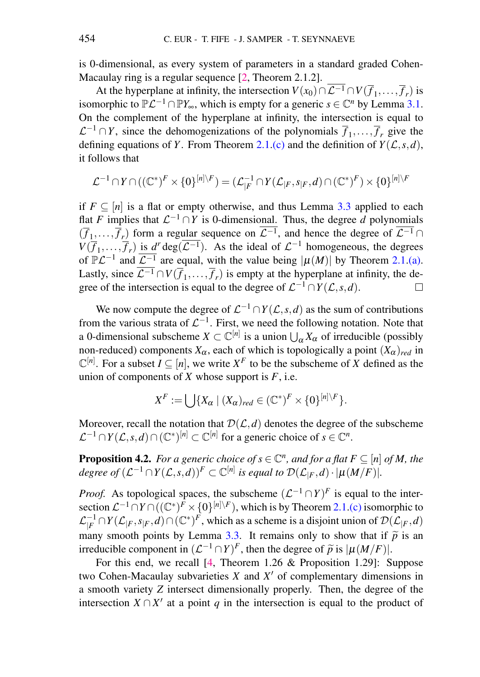is 0-dimensional, as every system of parameters in a standard graded Cohen-Macaulay ring is a regular sequence [\[2,](#page-11-13) Theorem 2.1.2].

At the hyperplane at infinity, the intersection  $V(x_0) \cap \mathcal{L}^{-1} \cap V(\overline{f}_1, \dots, \overline{f}_r)$  is isomorphic to  $\mathbb{P}\mathcal{L}^{-1} \cap \mathbb{P}Y_{\infty}$ , which is empty for a generic  $s \in \mathbb{C}^n$  by Lemma [3.1.](#page-5-1) On the complement of the hyperplane at infinity, the intersection is equal to  $\mathcal{L}^{-1} \cap Y$ , since the dehomogenizations of the polynomials  $\overline{f}_1, \ldots, \overline{f}_r$  give the defining equations of *Y*. From Theorem [2.1](#page-3-1)[.\(c\)](#page-4-2) and the definition of  $Y(\mathcal{L}, s, d)$ , it follows that

$$
\mathcal{L}^{-1}\cap Y\cap((\mathbb{C}^*)^F\times\{0\}^{[n]\setminus F})=(\mathcal{L}^{-1}_{\mid F}\cap Y(\mathcal{L}_{\mid F},s_{\mid F},d)\cap(\mathbb{C}^*)^F)\times\{0\}^{[n]\setminus F}
$$

if  $F \subseteq [n]$  is a flat or empty otherwise, and thus Lemma [3.3](#page-6-1) applied to each flat *F* implies that  $\mathcal{L}^{-1} \cap Y$  is 0-dimensional. Thus, the degree *d* polynomials  $(\overline{f}_1,\ldots,\overline{f}_r)$  form a regular sequence on  $\mathcal{L}^{-1}$ , and hence the degree of  $\mathcal{L}^{-1} \cap$  $V(\overline{f}_1,\ldots,\overline{f}_r)$  is  $d^r \text{deg}(\overline{\mathcal{L}^{-1}})$ . As the ideal of  $\mathcal{L}^{-1}$  homogeneous, the degrees of  $\mathbb{P}\mathcal{L}^{-1}$  and  $\overline{\mathcal{L}^{-1}}$  are equal, with the value being  $|\mu(M)|$  by Theorem [2.1.](#page-3-1)[\(a\).](#page-3-2) Lastly, since  $\mathcal{L}^{-1} \cap V(\overline{f}_1, \ldots, \overline{f}_r)$  is empty at the hyperplane at infinity, the degree of the intersection is equal to the degree of  $\mathcal{L}^{-1} \cap Y(\mathcal{L}, s, d)$ .  $\Box$ 

We now compute the degree of  $\mathcal{L}^{-1} \cap Y(\mathcal{L}, s, d)$  as the sum of contributions from the various strata of  $\mathcal{L}^{-1}$ . First, we need the following notation. Note that a 0-dimensional subscheme  $X \subset \mathbb{C}^{[n]}$  is a union  $\bigcup_{\alpha} X_{\alpha}$  of irreducible (possibly non-reduced) components  $X_\alpha$ , each of which is topologically a point  $(X_\alpha)_{red}$  in  $\mathbb{C}^{[n]}$ . For a subset  $I \subseteq [n]$ , we write  $X^F$  to be the subscheme of *X* defined as the union of components of  $X$  whose support is  $F$ , i.e.

$$
X^F := \bigcup \{ X_\alpha \mid (X_\alpha)_{red} \in (\mathbb{C}^*)^F \times \{0\}^{[n] \setminus F} \}.
$$

Moreover, recall the notation that  $D(L, d)$  denotes the degree of the subscheme  $\mathcal{L}^{-1} \cap Y(\mathcal{L}, s, d) \cap (\mathbb{C}^*)^{[n]} \subset \mathbb{C}^{[n]}$  for a generic choice of  $s \in \mathbb{C}^n$ .

<span id="page-7-0"></span>**Proposition 4.2.** For a generic choice of  $s \in \mathbb{C}^n$ , and for a flat  $F \subseteq [n]$  of M, the *degree of*  $(L^{-1} \cap Y(L, s, d))^F \subset \mathbb{C}^{[n]}$  *is equal to*  $\mathcal{D}(\mathcal{L}_{|F}, d) \cdot |\mu(M/F)|$ *.* 

*Proof.* As topological spaces, the subscheme  $(L^{-1} \cap Y)^F$  is equal to the intersection  $\mathcal{L}^{-1} \cap Y \cap ((\mathbb{C}^*)^F \times \{0\}^{[n] \setminus F})$ , which is by Theorem [2.1](#page-3-1)[.\(c\)](#page-4-2) isomorphic to  ${\cal L}^{-1}_{|F}$  $\frac{1}{|F|}$  ∩ *Y*( $\mathcal{L}_{|F}, s_{|F}, d$ )∩( $\mathbb{C}^*$ )<sup>*F*</sup>, which as a scheme is a disjoint union of  $\mathcal{D}(\mathcal{L}_{|F}, d)$ many smooth points by Lemma [3.3.](#page-6-1) It remains only to show that if  $\tilde{p}$  is an irreducible component in  $(L^{-1} \cap Y)^F$ , then the degree of  $\tilde{p}$  is  $|\mu(M/F)|$ .<br>For this and we recall 14. Theorem 1.26 & Proposition 1.201. S

For this end, we recall [\[4,](#page-11-14) Theorem 1.26 & Proposition 1.29]: Suppose two Cohen-Macaulay subvarieties  $X$  and  $X'$  of complementary dimensions in a smooth variety *Z* intersect dimensionally properly. Then, the degree of the intersection  $X \cap X'$  at a point q in the intersection is equal to the product of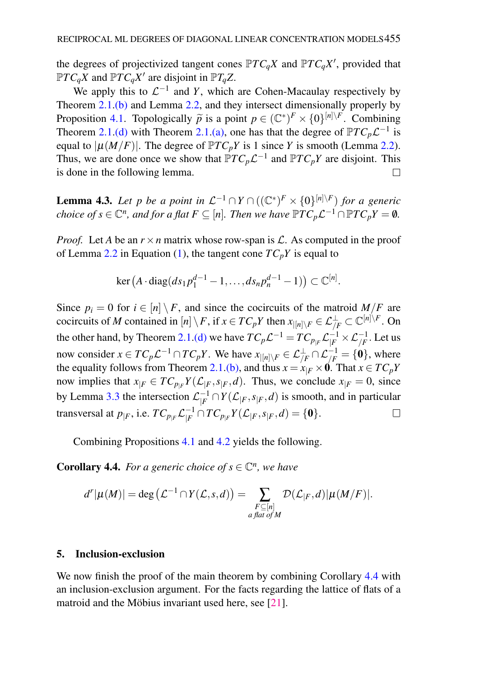the degrees of projectivized tangent cones  $\mathbb{P}TC_qX$  and  $\mathbb{P}TC_qX'$ , provided that  $\mathbb{P}TC_qX$  and  $\mathbb{P}TC_qX'$  are disjoint in  $\mathbb{P}T_qZ$ .

We apply this to  $\mathcal{L}^{-1}$  and *Y*, which are Cohen-Macaulay respectively by Theorem [2.1.](#page-3-1)[\(b\)](#page-4-1) and Lemma [2.2,](#page-4-3) and they intersect dimensionally properly by Proposition [4.1.](#page-6-2) Topologically  $\tilde{p}$  is a point  $p \in (\mathbb{C}^*)^F \times \{0\}^{[n]\setminus F}$ . Combining<br>Theorem 2.1 (d) with Theorem 2.1 (a), one has that the degree of  $\mathbb{P}TC$   $C^{-1}$  is Theorem [2.1.](#page-3-1)[\(d\)](#page-4-0) with Theorem [2.1](#page-3-1)[.\(a\),](#page-3-2) one has that the degree of  $\mathbb{P}TC_p\mathcal{L}^{-1}$  is equal to  $|\mu(M/F)|$ . The degree of  $\mathbb{P}TC_pY$  is 1 since *Y* is smooth (Lemma [2.2\)](#page-4-3). Thus, we are done once we show that  $\mathbb{P}TC_p\mathcal{L}^{-1}$  and  $\mathbb{P}TC_pY$  are disjoint. This is done in the following lemma.  $\Box$ 

**Lemma 4.3.** Let p be a point in  $\mathcal{L}^{-1} \cap Y \cap ((\mathbb{C}^*)^F \times \{0\}^{[n] \setminus F})$  for a generic *choice of s*  $\in \mathbb{C}^n$ *, and for a flat*  $F \subseteq [n]$ *. Then we have*  $\mathbb{P}TC_p\mathcal{L}^{-1} \cap \mathbb{P}TC_pY = \emptyset$ *.* 

*Proof.* Let *A* be an  $r \times n$  matrix whose row-span is  $\mathcal{L}$ . As computed in the proof of Lemma [2.2](#page-4-3) in Equation [\(1\)](#page-4-4), the tangent cone  $TC_pY$  is equal to

$$
\ker (A \cdot \text{diag}(ds_1 p_1^{d-1} - 1, \ldots, ds_n p_n^{d-1} - 1)) \subset \mathbb{C}^{[n]}.
$$

Since  $p_i = 0$  for  $i \in [n] \setminus F$ , and since the cocircuits of the matroid  $M/F$  are cocircuits of *M* contained in  $[n] \setminus F$ , if  $x \in TC_pY$  then  $x_{|[n] \setminus F} \in \mathcal{L}^{\perp}_{/F} \subset \mathbb{C}^{[n] \setminus F}$ . On the other hand, by Theorem [2.1](#page-3-1)[.\(d\)](#page-4-0) we have  $TC_p\mathcal{L}^{-1} = TC_{p_{|F}}\mathcal{L}^{-1}_{|F} \times \mathcal{L}^{-1}_{/F}$ . Let us now consider  $x \in TC_p\mathcal{L}^{-1} \cap TC_pY$ . We have  $x_{|[n] \setminus F} \in \mathcal{L}^{\perp}_{/F} \cap \mathcal{L}^{-1}_{/F} = \{0\}$ , where the equality follows from Theorem [2.1](#page-3-1)[.\(b\),](#page-4-1) and thus  $x = x|_F \times 0$ . That  $x \in TC_pY$ now implies that  $x_{|F} \in TC_{p_{|F}}Y(\mathcal{L}_{|F}, s_{|F}, d)$ . Thus, we conclude  $x_{|F} = 0$ , since by Lemma [3.3](#page-6-1) the intersection  $\mathcal{L}_{\mid F}^{-1}$  $\int_{F}^{-1} \bigcap Y(\mathcal{L}_{|F}, s_{|F}, d)$  is smooth, and in particular transversal at  $p_{|F}$ , i.e.  $TC_{p_{|F}}\mathcal{L}_{|F}^{-1}$  $\frac{-1}{|F} \cap TC_{p_{|F}}Y(\mathcal{L}_{|F}, s_{|F}, d) = \{\mathbf{0}\}.$  $\Box$ 

Combining Propositions [4.1](#page-6-2) and [4.2](#page-7-0) yields the following.

<span id="page-8-1"></span>**Corollary 4.4.** For a generic choice of  $s \in \mathbb{C}^n$ , we have

$$
d^r|\mu(M)| = \deg\left(\mathcal{L}^{-1} \cap Y(\mathcal{L},s,d)\right) = \sum_{\substack{F \subseteq [n] \\ a \text{ flat of } M}} \mathcal{D}(\mathcal{L}_{|F},d)|\mu(M/F)|.
$$

### <span id="page-8-0"></span>5. Inclusion-exclusion

We now finish the proof of the main theorem by combining Corollary [4.4](#page-8-1) with an inclusion-exclusion argument. For the facts regarding the lattice of flats of a matroid and the Möbius invariant used here, see  $[21]$  $[21]$ .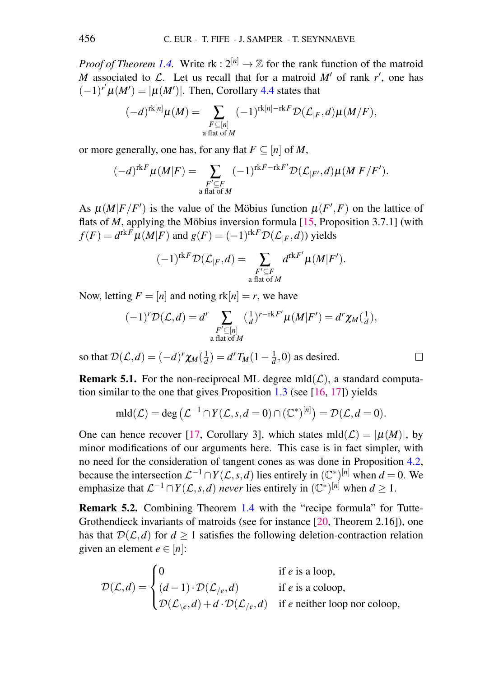*Proof of Theorem [1.4.](#page-2-1)* Write  $rk: 2^{[n]} \rightarrow \mathbb{Z}$  for the rank function of the matroid *M* associated to  $\mathcal{L}$ . Let us recall that for a matroid  $M'$  of rank  $r'$ , one has  $(-1)^{r'}\mu(M') = |\mu(M')|$ . Then, Corollary [4.4](#page-8-1) states that

$$
(-d)^{\operatorname{rk}[n]}\mu(M)=\sum_{\substack{F\subseteq [n]\\ \text{ a flat of }M}}(-1)^{\operatorname{rk}[n]-\operatorname{rk} F}\mathcal{D}(\mathcal{L}_{|F},d)\mu(M/F),
$$

or more generally, one has, for any flat  $F \subseteq [n]$  of *M*,

$$
(-d)^{\operatorname{rk} F}\mu(M|F)=\sum_{\substack{F'\subseteq F\\ \text{ a flat of }M}}(-1)^{\operatorname{rk} F-\operatorname{rk} F'}\mathcal{D}(\mathcal{L}_{|F'},d)\mu(M|F/F').
$$

As  $\mu(M|F/F')$  is the value of the Möbius function  $\mu(F',F)$  on the lattice of flats of *M*, applying the Möbius inversion formula  $[15,$  $[15,$  Proposition 3.7.1] (with  $f(F) = d^{rkF} \mu(M|F)$  and  $g(F) = (-1)^{rkF} \mathcal{D}(\mathcal{L}_{|F}, d)$ ) yields

$$
(-1)^{\operatorname{rk} F} \mathcal{D}(\mathcal{L}_{|F}, d) = \sum_{\substack{F' \subseteq F \\ \text{a flat of } M}} d^{\operatorname{rk} F'} \mu(M|F').
$$

Now, letting  $F = [n]$  and noting  $rk[n] = r$ , we have

$$
(-1)^{r}\mathcal{D}(\mathcal{L},d) = d^{r}\sum_{\substack{F' \subseteq [n] \\ \text{a flat of } M}} (\frac{1}{d})^{r-\text{rk } F'}\mu(M|F') = d^{r}\chi_M(\frac{1}{d}),
$$

so that  $\mathcal{D}(\mathcal{L}, d) = (-d)^r \chi_M(\frac{1}{d}) = d^r T_M(1 - \frac{1}{d}, 0)$  as desired.

<span id="page-9-0"></span>**Remark 5.1.** For the non-reciprocal ML degree  $mld(\mathcal{L})$ , a standard computation similar to the one that gives Proposition  $1.3$  (see [\[16,](#page-11-2) [17\]](#page-11-0)) yields

$$
\mathrm{mld}(\mathcal{L}) = \deg \left( \mathcal{L}^{-1} \cap Y(\mathcal{L}, s, d = 0) \cap (\mathbb{C}^*)^{[n]} \right) = \mathcal{D}(\mathcal{L}, d = 0).
$$

One can hence recover [\[17,](#page-11-0) Corollary 3], which states  $m(d(\mathcal{L}) = |\mu(M)|$ , by minor modifications of our arguments here. This case is in fact simpler, with no need for the consideration of tangent cones as was done in Proposition [4.2,](#page-7-0) because the intersection  $\mathcal{L}^{-1} \cap Y(\mathcal{L}, s, d)$  lies entirely in  $(\mathbb{C}^*)^{[n]}$  when  $d = 0$ . We emphasize that  $\mathcal{L}^{-1} \cap Y(\mathcal{L}, s, d)$  *never* lies entirely in  $(\mathbb{C}^*)^{[n]}$  when  $d \ge 1$ .

Remark 5.2. Combining Theorem [1.4](#page-2-1) with the "recipe formula" for Tutte-Grothendieck invariants of matroids (see for instance [\[20,](#page-12-3) Theorem 2.16]), one has that  $D(\mathcal{L}, d)$  for  $d > 1$  satisfies the following deletion-contraction relation given an element  $e \in [n]$ :

$$
\mathcal{D}(\mathcal{L},d) = \begin{cases}\n0 & \text{if } e \text{ is a loop,} \\
(d-1) \cdot \mathcal{D}(\mathcal{L}_{/e},d) & \text{if } e \text{ is a coloop,} \\
\mathcal{D}(\mathcal{L}_{\setminus e},d) + d \cdot \mathcal{D}(\mathcal{L}_{/e},d) & \text{if } e \text{ neither loop nor coloop,}\n\end{cases}
$$

 $\Box$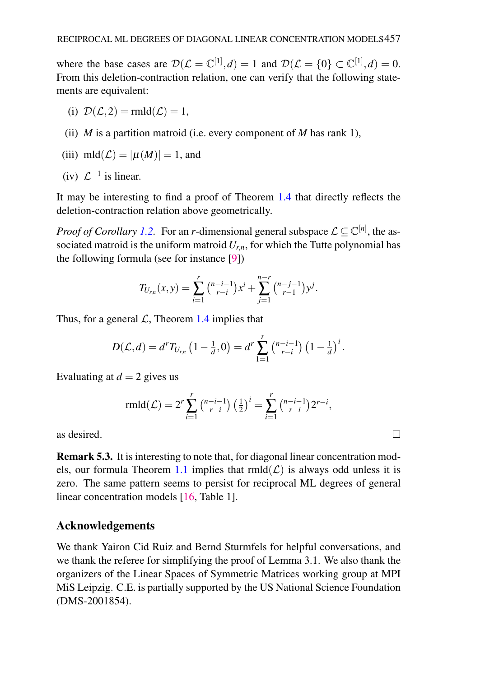where the base cases are  $\mathcal{D}(\mathcal{L} = \mathbb{C}^{[1]}, d) = 1$  and  $\mathcal{D}(\mathcal{L} = \{0\} \subset \mathbb{C}^{[1]}, d) = 0$ . From this deletion-contraction relation, one can verify that the following statements are equivalent:

- (i)  $\mathcal{D}(\mathcal{L},2) = \text{rmld}(\mathcal{L}) = 1$ ,
- (ii) *M* is a partition matroid (i.e. every component of *M* has rank 1),

(iii) 
$$
mld(\mathcal{L}) = |\mu(M)| = 1
$$
, and

(iv) 
$$
\mathcal{L}^{-1}
$$
 is linear.

It may be interesting to find a proof of Theorem [1.4](#page-2-1) that directly reflects the deletion-contraction relation above geometrically.

*Proof of Corollary [1.2.](#page-1-1)* For an *r*-dimensional general subspace  $\mathcal{L} \subseteq \mathbb{C}^{[n]}$ , the associated matroid is the uniform matroid  $U_{r,n}$ , for which the Tutte polynomial has the following formula (see for instance [\[9\]](#page-11-16))

$$
T_{U_{r,n}}(x,y) = \sum_{i=1}^r \binom{n-i-1}{r-i} x^i + \sum_{j=1}^{n-r} \binom{n-j-1}{r-1} y^j.
$$

Thus, for a general  $\mathcal{L}$ , Theorem [1.4](#page-2-1) implies that

$$
D(\mathcal{L},d) = d^r T_{U_{r,n}}\left(1-\frac{1}{d},0\right) = d^r \sum_{1=1}^r \binom{n-i-1}{r-i} \left(1-\frac{1}{d}\right)^i.
$$

Evaluating at  $d = 2$  gives us

$$
r m l d(\mathcal{L}) = 2^r \sum_{i=1}^r \binom{n-i-1}{r-i} \left(\frac{1}{2}\right)^i = \sum_{i=1}^r \binom{n-i-1}{r-i} 2^{r-i},
$$

as desired.

Remark 5.3. It is interesting to note that, for diagonal linear concentration mod-els, our formula Theorem [1.1](#page-1-0) implies that  $rmld(\mathcal{L})$  is always odd unless it is zero. The same pattern seems to persist for reciprocal ML degrees of general linear concentration models [\[16,](#page-11-2) Table 1].

# Acknowledgements

We thank Yairon Cid Ruiz and Bernd Sturmfels for helpful conversations, and we thank the referee for simplifying the proof of Lemma 3.1. We also thank the organizers of the Linear Spaces of Symmetric Matrices working group at MPI MiS Leipzig. C.E. is partially supported by the US National Science Foundation (DMS-2001854).

 $\Box$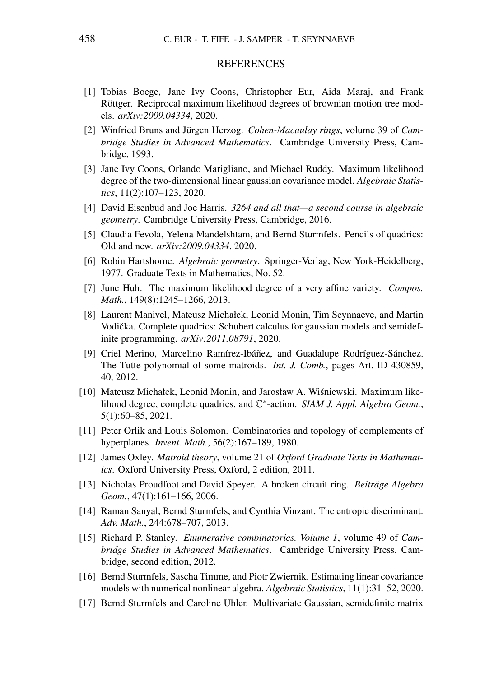#### **REFERENCES**

- <span id="page-11-1"></span>[1] Tobias Boege, Jane Ivy Coons, Christopher Eur, Aida Maraj, and Frank Röttger. Reciprocal maximum likelihood degrees of brownian motion tree models. *arXiv:2009.04334*, 2020.
- <span id="page-11-13"></span>[2] Winfried Bruns and Jürgen Herzog. *Cohen-Macaulay rings*, volume 39 of *Cambridge Studies in Advanced Mathematics*. Cambridge University Press, Cambridge, 1993.
- <span id="page-11-8"></span>[3] Jane Ivy Coons, Orlando Marigliano, and Michael Ruddy. Maximum likelihood degree of the two-dimensional linear gaussian covariance model. *Algebraic Statistics*, 11(2):107–123, 2020.
- <span id="page-11-14"></span>[4] David Eisenbud and Joe Harris. *3264 and all that—a second course in algebraic geometry*. Cambridge University Press, Cambridge, 2016.
- <span id="page-11-3"></span>[5] Claudia Fevola, Yelena Mandelshtam, and Bernd Sturmfels. Pencils of quadrics: Old and new. *arXiv:2009.04334*, 2020.
- <span id="page-11-12"></span>[6] Robin Hartshorne. *Algebraic geometry*. Springer-Verlag, New York-Heidelberg, 1977. Graduate Texts in Mathematics, No. 52.
- <span id="page-11-7"></span>[7] June Huh. The maximum likelihood degree of a very affine variety. *Compos. Math.*, 149(8):1245–1266, 2013.
- <span id="page-11-4"></span>[8] Laurent Manivel, Mateusz Michałek, Leonid Monin, Tim Seynnaeve, and Martin Vodička. Complete quadrics: Schubert calculus for gaussian models and semidefinite programming. *arXiv:2011.08791*, 2020.
- <span id="page-11-16"></span>[9] Criel Merino, Marcelino Ramírez-Ibáñez, and Guadalupe Rodríguez-Sánchez. The Tutte polynomial of some matroids. *Int. J. Comb.*, pages Art. ID 430859, 40, 2012.
- <span id="page-11-5"></span>[10] Mateusz Michałek, Leonid Monin, and Jarosław A. Wisniewski. Maximum like- ´ lihood degree, complete quadrics, and C ∗ -action. *SIAM J. Appl. Algebra Geom.*, 5(1):60–85, 2021.
- <span id="page-11-6"></span>[11] Peter Orlik and Louis Solomon. Combinatorics and topology of complements of hyperplanes. *Invent. Math.*, 56(2):167–189, 1980.
- <span id="page-11-9"></span>[12] James Oxley. *Matroid theory*, volume 21 of *Oxford Graduate Texts in Mathematics*. Oxford University Press, Oxford, 2 edition, 2011.
- <span id="page-11-10"></span>[13] Nicholas Proudfoot and David Speyer. A broken circuit ring. *Beitrage Algebra ¨ Geom.*, 47(1):161–166, 2006.
- <span id="page-11-11"></span>[14] Raman Sanyal, Bernd Sturmfels, and Cynthia Vinzant. The entropic discriminant. *Adv. Math.*, 244:678–707, 2013.
- <span id="page-11-15"></span>[15] Richard P. Stanley. *Enumerative combinatorics. Volume 1*, volume 49 of *Cambridge Studies in Advanced Mathematics*. Cambridge University Press, Cambridge, second edition, 2012.
- <span id="page-11-2"></span>[16] Bernd Sturmfels, Sascha Timme, and Piotr Zwiernik. Estimating linear covariance models with numerical nonlinear algebra. *Algebraic Statistics*, 11(1):31–52, 2020.
- <span id="page-11-0"></span>[17] Bernd Sturmfels and Caroline Uhler. Multivariate Gaussian, semidefinite matrix